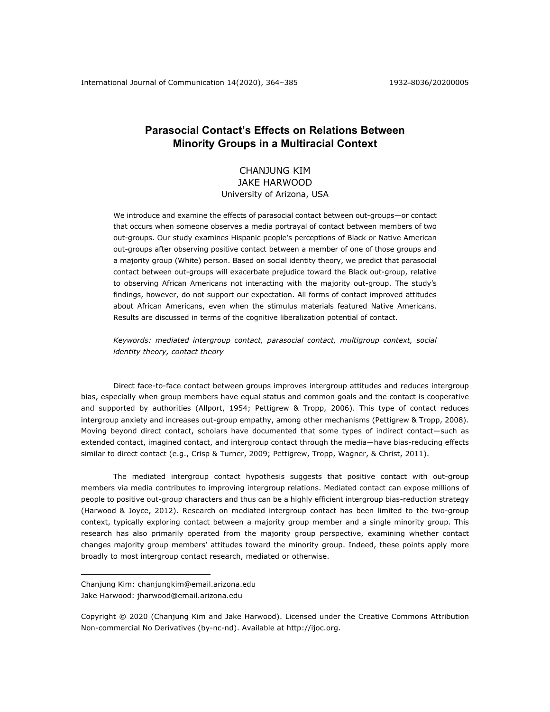# **Parasocial Contact's Effects on Relations Between Minority Groups in a Multiracial Context**

## CHANJUNG KIM JAKE HARWOOD University of Arizona, USA

We introduce and examine the effects of parasocial contact between out-groups—or contact that occurs when someone observes a media portrayal of contact between members of two out-groups. Our study examines Hispanic people's perceptions of Black or Native American out-groups after observing positive contact between a member of one of those groups and a majority group (White) person. Based on social identity theory, we predict that parasocial contact between out-groups will exacerbate prejudice toward the Black out-group, relative to observing African Americans not interacting with the majority out-group. The study's findings, however, do not support our expectation. All forms of contact improved attitudes about African Americans, even when the stimulus materials featured Native Americans. Results are discussed in terms of the cognitive liberalization potential of contact.

*Keywords: mediated intergroup contact, parasocial contact, multigroup context, social identity theory, contact theory*

Direct face-to-face contact between groups improves intergroup attitudes and reduces intergroup bias, especially when group members have equal status and common goals and the contact is cooperative and supported by authorities (Allport, 1954; Pettigrew & Tropp, 2006). This type of contact reduces intergroup anxiety and increases out-group empathy, among other mechanisms (Pettigrew & Tropp, 2008). Moving beyond direct contact, scholars have documented that some types of indirect contact—such as extended contact, imagined contact, and intergroup contact through the media—have bias-reducing effects similar to direct contact (e.g., Crisp & Turner, 2009; Pettigrew, Tropp, Wagner, & Christ, 2011).

The mediated intergroup contact hypothesis suggests that positive contact with out-group members via media contributes to improving intergroup relations. Mediated contact can expose millions of people to positive out-group characters and thus can be a highly efficient intergroup bias-reduction strategy (Harwood & Joyce, 2012). Research on mediated intergroup contact has been limited to the two-group context, typically exploring contact between a majority group member and a single minority group. This research has also primarily operated from the majority group perspective, examining whether contact changes majority group members' attitudes toward the minority group. Indeed, these points apply more broadly to most intergroup contact research, mediated or otherwise.

Chanjung Kim: chanjungkim@email.arizona.edu Jake Harwood: jharwood@email.arizona.edu

Copyright © 2020 (Chanjung Kim and Jake Harwood). Licensed under the Creative Commons Attribution Non-commercial No Derivatives (by-nc-nd). Available at http://ijoc.org.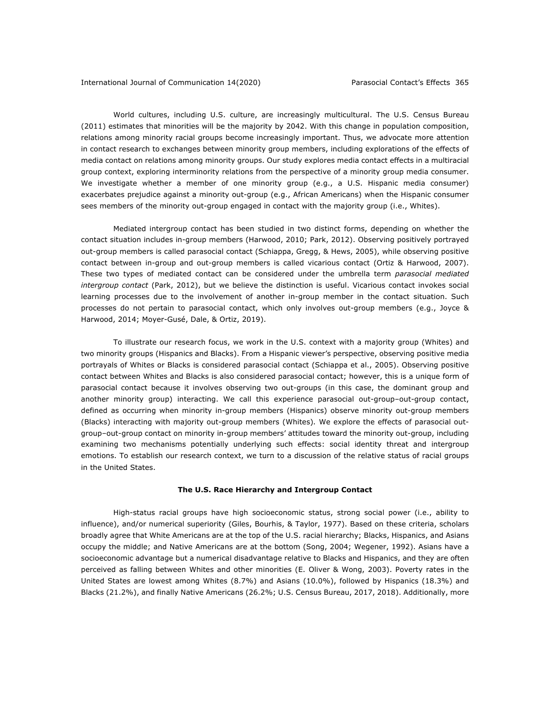World cultures, including U.S. culture, are increasingly multicultural. The U.S. Census Bureau (2011) estimates that minorities will be the majority by 2042. With this change in population composition, relations among minority racial groups become increasingly important. Thus, we advocate more attention in contact research to exchanges between minority group members, including explorations of the effects of media contact on relations among minority groups. Our study explores media contact effects in a multiracial group context, exploring interminority relations from the perspective of a minority group media consumer. We investigate whether a member of one minority group (e.g., a U.S. Hispanic media consumer) exacerbates prejudice against a minority out-group (e.g., African Americans) when the Hispanic consumer sees members of the minority out-group engaged in contact with the majority group (i.e., Whites).

Mediated intergroup contact has been studied in two distinct forms, depending on whether the contact situation includes in-group members (Harwood, 2010; Park, 2012). Observing positively portrayed out-group members is called parasocial contact (Schiappa, Gregg, & Hews, 2005), while observing positive contact between in-group and out-group members is called vicarious contact (Ortiz & Harwood, 2007). These two types of mediated contact can be considered under the umbrella term *parasocial mediated intergroup contact* (Park, 2012), but we believe the distinction is useful. Vicarious contact invokes social learning processes due to the involvement of another in-group member in the contact situation. Such processes do not pertain to parasocial contact, which only involves out-group members (e.g., Joyce & Harwood, 2014; Moyer-Gusé, Dale, & Ortiz, 2019).

To illustrate our research focus, we work in the U.S. context with a majority group (Whites) and two minority groups (Hispanics and Blacks). From a Hispanic viewer's perspective, observing positive media portrayals of Whites or Blacks is considered parasocial contact (Schiappa et al., 2005). Observing positive contact between Whites and Blacks is also considered parasocial contact; however, this is a unique form of parasocial contact because it involves observing two out-groups (in this case, the dominant group and another minority group) interacting. We call this experience parasocial out-group–out-group contact, defined as occurring when minority in-group members (Hispanics) observe minority out-group members (Blacks) interacting with majority out-group members (Whites)*.* We explore the effects of parasocial outgroup–out-group contact on minority in-group members' attitudes toward the minority out-group, including examining two mechanisms potentially underlying such effects: social identity threat and intergroup emotions. To establish our research context, we turn to a discussion of the relative status of racial groups in the United States.

## **The U.S. Race Hierarchy and Intergroup Contact**

High-status racial groups have high socioeconomic status, strong social power (i.e., ability to influence), and/or numerical superiority (Giles, Bourhis, & Taylor, 1977). Based on these criteria, scholars broadly agree that White Americans are at the top of the U.S. racial hierarchy; Blacks, Hispanics, and Asians occupy the middle; and Native Americans are at the bottom (Song, 2004; Wegener, 1992). Asians have a socioeconomic advantage but a numerical disadvantage relative to Blacks and Hispanics, and they are often perceived as falling between Whites and other minorities (E. Oliver & Wong, 2003). Poverty rates in the United States are lowest among Whites (8.7%) and Asians (10.0%), followed by Hispanics (18.3%) and Blacks (21.2%), and finally Native Americans (26.2%; U.S. Census Bureau, 2017, 2018). Additionally, more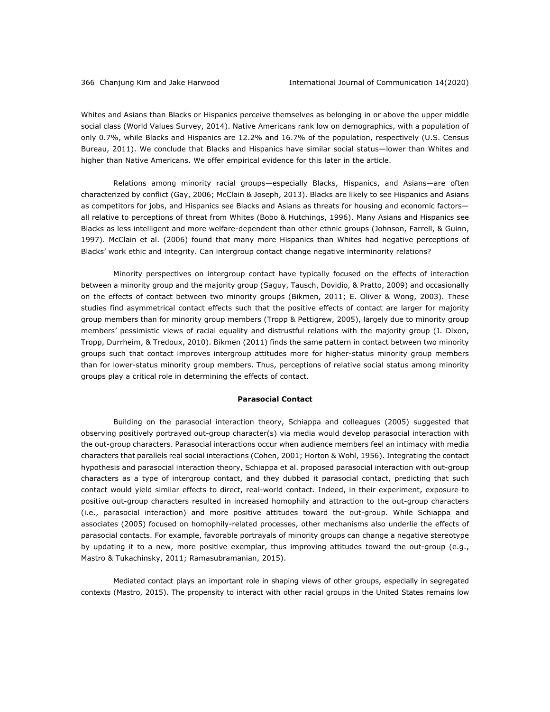Whites and Asians than Blacks or Hispanics perceive themselves as belonging in or above the upper middle social class (World Values Survey, 2014). Native Americans rank low on demographics, with a population of only 0.7%, while Blacks and Hispanics are 12.2% and 16.7% of the population, respectively (U.S. Census Bureau, 2011). We conclude that Blacks and Hispanics have similar social status—lower than Whites and higher than Native Americans. We offer empirical evidence for this later in the article.

Relations among minority racial groups—especially Blacks, Hispanics, and Asians—are often characterized by conflict (Gay, 2006; McClain & Joseph, 2013). Blacks are likely to see Hispanics and Asians as competitors for jobs, and Hispanics see Blacks and Asians as threats for housing and economic factors all relative to perceptions of threat from Whites (Bobo & Hutchings, 1996). Many Asians and Hispanics see Blacks as less intelligent and more welfare-dependent than other ethnic groups (Johnson, Farrell, & Guinn, 1997). McClain et al. (2006) found that many more Hispanics than Whites had negative perceptions of Blacks' work ethic and integrity. Can intergroup contact change negative interminority relations?

Minority perspectives on intergroup contact have typically focused on the effects of interaction between a minority group and the majority group (Saguy, Tausch, Dovidio, & Pratto, 2009) and occasionally on the effects of contact between two minority groups (Bikmen, 2011; E. Oliver & Wong, 2003). These studies find asymmetrical contact effects such that the positive effects of contact are larger for majority group members than for minority group members (Tropp & Pettigrew, 2005), largely due to minority group members' pessimistic views of racial equality and distrustful relations with the majority group (J. Dixon, Tropp, Durrheim, & Tredoux, 2010). Bikmen (2011) finds the same pattern in contact between two minority groups such that contact improves intergroup attitudes more for higher-status minority group members than for lower-status minority group members. Thus, perceptions of relative social status among minority groups play a critical role in determining the effects of contact.

## **Parasocial Contact**

Building on the parasocial interaction theory, Schiappa and colleagues (2005) suggested that observing positively portrayed out-group character(s) via media would develop parasocial interaction with the out-group characters. Parasocial interactions occur when audience members feel an intimacy with media characters that parallels real social interactions (Cohen, 2001; Horton & Wohl, 1956). Integrating the contact hypothesis and parasocial interaction theory, Schiappa et al. proposed parasocial interaction with out-group characters as a type of intergroup contact, and they dubbed it parasocial contact, predicting that such contact would yield similar effects to direct, real-world contact. Indeed, in their experiment, exposure to positive out-group characters resulted in increased homophily and attraction to the out-group characters (i.e., parasocial interaction) and more positive attitudes toward the out-group. While Schiappa and associates (2005) focused on homophily-related processes, other mechanisms also underlie the effects of parasocial contacts. For example, favorable portrayals of minority groups can change a negative stereotype by updating it to a new, more positive exemplar, thus improving attitudes toward the out-group (e.g., Mastro & Tukachinsky, 2011; Ramasubramanian, 2015).

Mediated contact plays an important role in shaping views of other groups, especially in segregated contexts (Mastro, 2015). The propensity to interact with other racial groups in the United States remains low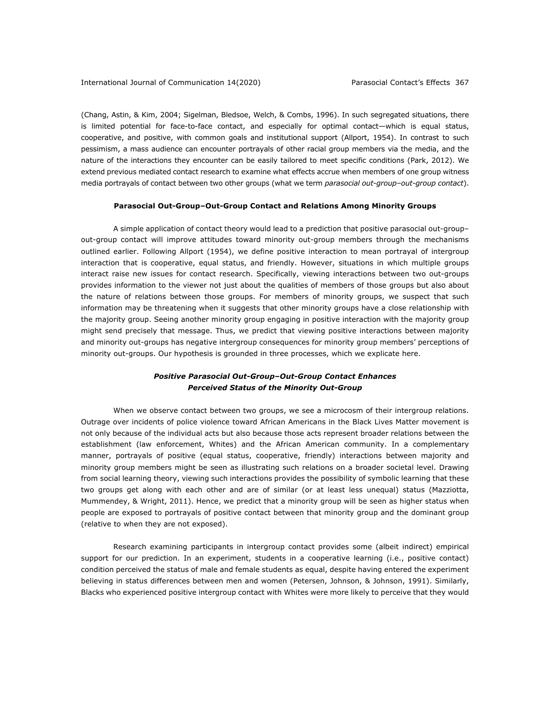(Chang, Astin, & Kim, 2004; Sigelman, Bledsoe, Welch, & Combs, 1996). In such segregated situations, there is limited potential for face-to-face contact, and especially for optimal contact—which is equal status, cooperative, and positive, with common goals and institutional support (Allport, 1954). In contrast to such pessimism, a mass audience can encounter portrayals of other racial group members via the media, and the nature of the interactions they encounter can be easily tailored to meet specific conditions (Park, 2012). We extend previous mediated contact research to examine what effects accrue when members of one group witness media portrayals of contact between two other groups (what we term *parasocial out-group–out-group contact*).

## **Parasocial Out-Group–Out-Group Contact and Relations Among Minority Groups**

A simple application of contact theory would lead to a prediction that positive parasocial out-group– out-group contact will improve attitudes toward minority out-group members through the mechanisms outlined earlier. Following Allport (1954), we define positive interaction to mean portrayal of intergroup interaction that is cooperative, equal status, and friendly. However, situations in which multiple groups interact raise new issues for contact research. Specifically, viewing interactions between two out-groups provides information to the viewer not just about the qualities of members of those groups but also about the nature of relations between those groups. For members of minority groups, we suspect that such information may be threatening when it suggests that other minority groups have a close relationship with the majority group. Seeing another minority group engaging in positive interaction with the majority group might send precisely that message. Thus, we predict that viewing positive interactions between majority and minority out-groups has negative intergroup consequences for minority group members' perceptions of minority out-groups. Our hypothesis is grounded in three processes, which we explicate here.

## *Positive Parasocial Out-Group–Out-Group Contact Enhances Perceived Status of the Minority Out-Group*

When we observe contact between two groups, we see a microcosm of their intergroup relations. Outrage over incidents of police violence toward African Americans in the Black Lives Matter movement is not only because of the individual acts but also because those acts represent broader relations between the establishment (law enforcement, Whites) and the African American community. In a complementary manner, portrayals of positive (equal status, cooperative, friendly) interactions between majority and minority group members might be seen as illustrating such relations on a broader societal level. Drawing from social learning theory, viewing such interactions provides the possibility of symbolic learning that these two groups get along with each other and are of similar (or at least less unequal) status (Mazziotta, Mummendey, & Wright, 2011). Hence, we predict that a minority group will be seen as higher status when people are exposed to portrayals of positive contact between that minority group and the dominant group (relative to when they are not exposed).

Research examining participants in intergroup contact provides some (albeit indirect) empirical support for our prediction. In an experiment, students in a cooperative learning (i.e., positive contact) condition perceived the status of male and female students as equal, despite having entered the experiment believing in status differences between men and women (Petersen, Johnson, & Johnson, 1991). Similarly, Blacks who experienced positive intergroup contact with Whites were more likely to perceive that they would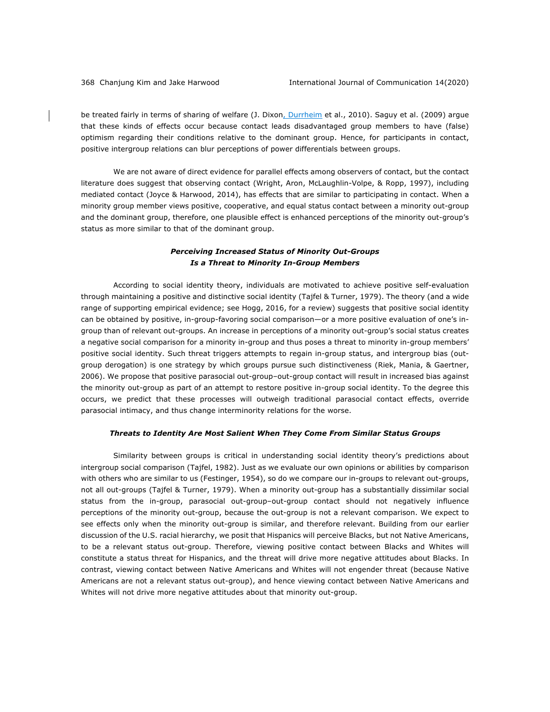be treated fairly in terms of sharing of welfare (J. Dixon, Durrheim et al., 2010). Saguy et al. (2009) argue that these kinds of effects occur because contact leads disadvantaged group members to have (false) optimism regarding their conditions relative to the dominant group. Hence, for participants in contact, positive intergroup relations can blur perceptions of power differentials between groups.

We are not aware of direct evidence for parallel effects among observers of contact, but the contact literature does suggest that observing contact (Wright, Aron, McLaughlin-Volpe, & Ropp, 1997), including mediated contact (Joyce & Harwood, 2014), has effects that are similar to participating in contact. When a minority group member views positive, cooperative, and equal status contact between a minority out-group and the dominant group, therefore, one plausible effect is enhanced perceptions of the minority out-group's status as more similar to that of the dominant group.

## *Perceiving Increased Status of Minority Out-Groups Is a Threat to Minority In-Group Members*

According to social identity theory, individuals are motivated to achieve positive self-evaluation through maintaining a positive and distinctive social identity (Tajfel & Turner, 1979). The theory (and a wide range of supporting empirical evidence; see Hogg, 2016, for a review) suggests that positive social identity can be obtained by positive, in-group-favoring social comparison—or a more positive evaluation of one's ingroup than of relevant out-groups. An increase in perceptions of a minority out-group's social status creates a negative social comparison for a minority in-group and thus poses a threat to minority in-group members' positive social identity. Such threat triggers attempts to regain in-group status, and intergroup bias (outgroup derogation) is one strategy by which groups pursue such distinctiveness (Riek, Mania, & Gaertner, 2006). We propose that positive parasocial out-group–out-group contact will result in increased bias against the minority out-group as part of an attempt to restore positive in-group social identity. To the degree this occurs, we predict that these processes will outweigh traditional parasocial contact effects, override parasocial intimacy, and thus change interminority relations for the worse.

## *Threats to Identity Are Most Salient When They Come From Similar Status Groups*

Similarity between groups is critical in understanding social identity theory's predictions about intergroup social comparison (Tajfel, 1982). Just as we evaluate our own opinions or abilities by comparison with others who are similar to us (Festinger, 1954), so do we compare our in-groups to relevant out-groups, not all out-groups (Tajfel & Turner, 1979). When a minority out-group has a substantially dissimilar social status from the in-group, parasocial out-group–out-group contact should not negatively influence perceptions of the minority out-group, because the out-group is not a relevant comparison. We expect to see effects only when the minority out-group is similar, and therefore relevant. Building from our earlier discussion of the U.S. racial hierarchy, we posit that Hispanics will perceive Blacks, but not Native Americans, to be a relevant status out-group. Therefore, viewing positive contact between Blacks and Whites will constitute a status threat for Hispanics, and the threat will drive more negative attitudes about Blacks. In contrast, viewing contact between Native Americans and Whites will not engender threat (because Native Americans are not a relevant status out-group), and hence viewing contact between Native Americans and Whites will not drive more negative attitudes about that minority out-group.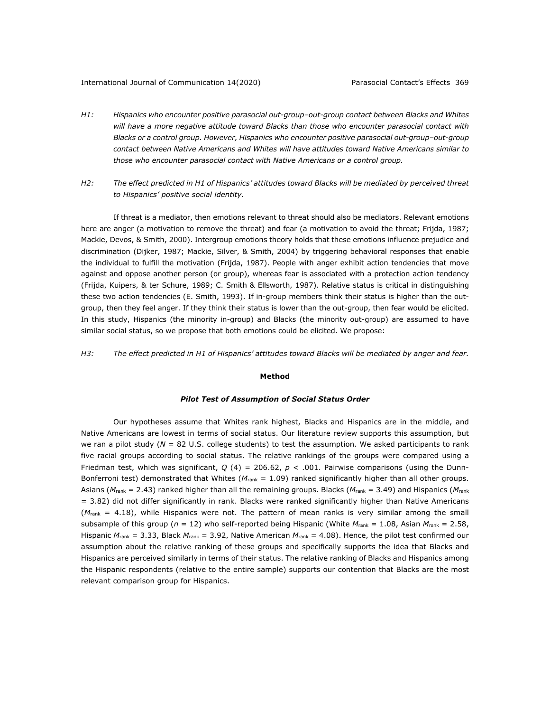#### International Journal of Communication 14(2020) Parasocial Contact's Effects 369

- *H1: Hispanics who encounter positive parasocial out-group–out-group contact between Blacks and Whites will have a more negative attitude toward Blacks than those who encounter parasocial contact with Blacks or a control group. However, Hispanics who encounter positive parasocial out-group–out-group contact between Native Americans and Whites will have attitudes toward Native Americans similar to those who encounter parasocial contact with Native Americans or a control group.*
- *H2: The effect predicted in H1 of Hispanics' attitudes toward Blacks will be mediated by perceived threat to Hispanics' positive social identity.*

If threat is a mediator, then emotions relevant to threat should also be mediators. Relevant emotions here are anger (a motivation to remove the threat) and fear (a motivation to avoid the threat; Frijda, 1987; Mackie, Devos, & Smith, 2000). Intergroup emotions theory holds that these emotions influence prejudice and discrimination (Dijker, 1987; Mackie, Silver, & Smith, 2004) by triggering behavioral responses that enable the individual to fulfill the motivation (Frijda, 1987). People with anger exhibit action tendencies that move against and oppose another person (or group), whereas fear is associated with a protection action tendency (Frijda, Kuipers, & ter Schure, 1989; C. Smith & Ellsworth, 1987). Relative status is critical in distinguishing these two action tendencies (E. Smith, 1993). If in-group members think their status is higher than the outgroup, then they feel anger. If they think their status is lower than the out-group, then fear would be elicited. In this study, Hispanics (the minority in-group) and Blacks (the minority out-group) are assumed to have similar social status, so we propose that both emotions could be elicited. We propose:

## H3: The effect predicted in H1 of Hispanics' attitudes toward Blacks will be mediated by anger and fear.

#### **Method**

## *Pilot Test of Assumption of Social Status Order*

Our hypotheses assume that Whites rank highest, Blacks and Hispanics are in the middle, and Native Americans are lowest in terms of social status. Our literature review supports this assumption, but we ran a pilot study (*N* = 82 U.S. college students) to test the assumption. We asked participants to rank five racial groups according to social status. The relative rankings of the groups were compared using a Friedman test, which was significant, *Q* (4) = 206.62, *p* < .001. Pairwise comparisons (using the Dunn-Bonferroni test) demonstrated that Whites ( $M_{\text{rank}} = 1.09$ ) ranked significantly higher than all other groups. Asians (*M*rank = 2.43) ranked higher than all the remaining groups. Blacks (*M*rank = 3.49) and Hispanics (*M*rank = 3.82) did not differ significantly in rank. Blacks were ranked significantly higher than Native Americans ( $M<sub>rank</sub> = 4.18$ ), while Hispanics were not. The pattern of mean ranks is very similar among the small subsample of this group (*n* = 12) who self-reported being Hispanic (White *M*rank = 1.08, Asian *M*rank = 2.58, Hispanic *M*rank = 3.33, Black *M*rank = 3.92, Native American *M*rank = 4.08). Hence, the pilot test confirmed our assumption about the relative ranking of these groups and specifically supports the idea that Blacks and Hispanics are perceived similarly in terms of their status. The relative ranking of Blacks and Hispanics among the Hispanic respondents (relative to the entire sample) supports our contention that Blacks are the most relevant comparison group for Hispanics.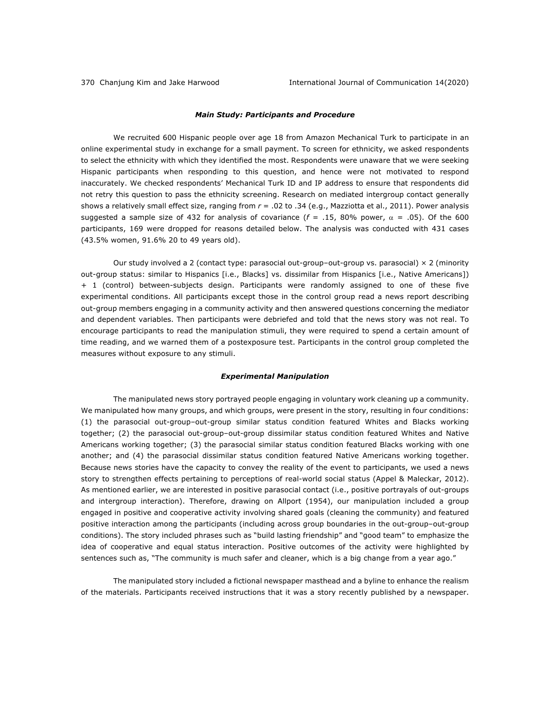## *Main Study: Participants and Procedure*

We recruited 600 Hispanic people over age 18 from Amazon Mechanical Turk to participate in an online experimental study in exchange for a small payment. To screen for ethnicity, we asked respondents to select the ethnicity with which they identified the most. Respondents were unaware that we were seeking Hispanic participants when responding to this question, and hence were not motivated to respond inaccurately. We checked respondents' Mechanical Turk ID and IP address to ensure that respondents did not retry this question to pass the ethnicity screening. Research on mediated intergroup contact generally shows a relatively small effect size, ranging from *r* = .02 to .34 (e.g., Mazziotta et al., 2011). Power analysis suggested a sample size of 432 for analysis of covariance  $(f = .15, 80\%$  power,  $\alpha = .05$ ). Of the 600 participants, 169 were dropped for reasons detailed below. The analysis was conducted with 431 cases (43.5% women, 91.6% 20 to 49 years old).

Our study involved a 2 (contact type: parasocial out-group–out-group vs. parasocial) × 2 (minority out-group status: similar to Hispanics [i.e., Blacks] vs. dissimilar from Hispanics [i.e., Native Americans]) + 1 (control) between-subjects design. Participants were randomly assigned to one of these five experimental conditions. All participants except those in the control group read a news report describing out-group members engaging in a community activity and then answered questions concerning the mediator and dependent variables. Then participants were debriefed and told that the news story was not real. To encourage participants to read the manipulation stimuli, they were required to spend a certain amount of time reading, and we warned them of a postexposure test. Participants in the control group completed the measures without exposure to any stimuli.

## *Experimental Manipulation*

The manipulated news story portrayed people engaging in voluntary work cleaning up a community. We manipulated how many groups, and which groups, were present in the story, resulting in four conditions: (1) the parasocial out-group–out-group similar status condition featured Whites and Blacks working together; (2) the parasocial out-group–out-group dissimilar status condition featured Whites and Native Americans working together; (3) the parasocial similar status condition featured Blacks working with one another; and (4) the parasocial dissimilar status condition featured Native Americans working together. Because news stories have the capacity to convey the reality of the event to participants, we used a news story to strengthen effects pertaining to perceptions of real-world social status (Appel & Maleckar, 2012). As mentioned earlier, we are interested in positive parasocial contact (i.e., positive portrayals of out-groups and intergroup interaction). Therefore, drawing on Allport (1954), our manipulation included a group engaged in positive and cooperative activity involving shared goals (cleaning the community) and featured positive interaction among the participants (including across group boundaries in the out-group–out-group conditions). The story included phrases such as "build lasting friendship" and "good team" to emphasize the idea of cooperative and equal status interaction. Positive outcomes of the activity were highlighted by sentences such as, "The community is much safer and cleaner, which is a big change from a year ago."

The manipulated story included a fictional newspaper masthead and a byline to enhance the realism of the materials. Participants received instructions that it was a story recently published by a newspaper.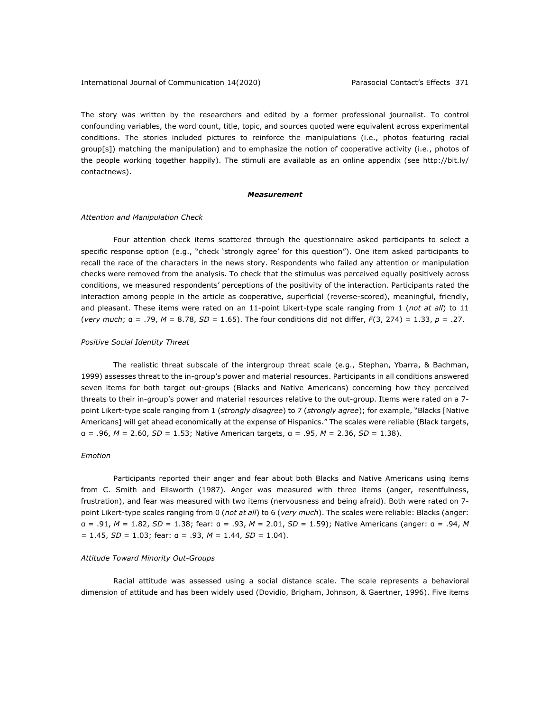The story was written by the researchers and edited by a former professional journalist. To control confounding variables, the word count, title, topic, and sources quoted were equivalent across experimental conditions. The stories included pictures to reinforce the manipulations (i.e., photos featuring racial group[s]) matching the manipulation) and to emphasize the notion of cooperative activity (i.e., photos of the people working together happily). The stimuli are available as an online appendix (see http://bit.ly/ contactnews).

#### *Measurement*

#### *Attention and Manipulation Check*

Four attention check items scattered through the questionnaire asked participants to select a specific response option (e.g., "check 'strongly agree' for this question"). One item asked participants to recall the race of the characters in the news story. Respondents who failed any attention or manipulation checks were removed from the analysis. To check that the stimulus was perceived equally positively across conditions, we measured respondents' perceptions of the positivity of the interaction. Participants rated the interaction among people in the article as cooperative, superficial (reverse-scored), meaningful, friendly, and pleasant. These items were rated on an 11-point Likert-type scale ranging from 1 (*not at all*) to 11 (*very much*; α = .79, *M* = 8.78, *SD* = 1.65). The four conditions did not differ, *F*(3, 274) = 1.33, *p* = .27.

### *Positive Social Identity Threat*

The realistic threat subscale of the intergroup threat scale (e.g., Stephan, Ybarra, & Bachman, 1999) assesses threat to the in-group's power and material resources. Participants in all conditions answered seven items for both target out-groups (Blacks and Native Americans) concerning how they perceived threats to their in-group's power and material resources relative to the out-group. Items were rated on a 7 point Likert-type scale ranging from 1 (*strongly disagree*) to 7 (*strongly agree*); for example, "Blacks [Native Americans] will get ahead economically at the expense of Hispanics." The scales were reliable (Black targets, α = .96, *M* = 2.60, *SD* = 1.53; Native American targets, α = .95, *M* = 2.36, *SD* = 1.38).

## *Emotion*

Participants reported their anger and fear about both Blacks and Native Americans using items from C. Smith and Ellsworth (1987). Anger was measured with three items (anger, resentfulness, frustration), and fear was measured with two items (nervousness and being afraid). Both were rated on 7 point Likert-type scales ranging from 0 (*not at all*) to 6 (*very much*). The scales were reliable: Blacks (anger: α = .91, *M* = 1.82, *SD* = 1.38; fear: α = .93, *M* = 2.01, *SD* = 1.59); Native Americans (anger: α = .94, *M* = 1.45, *SD* = 1.03; fear: α = .93, *M* = 1.44, *SD* = 1.04).

#### *Attitude Toward Minority Out-Groups*

Racial attitude was assessed using a social distance scale. The scale represents a behavioral dimension of attitude and has been widely used (Dovidio, Brigham, Johnson, & Gaertner, 1996). Five items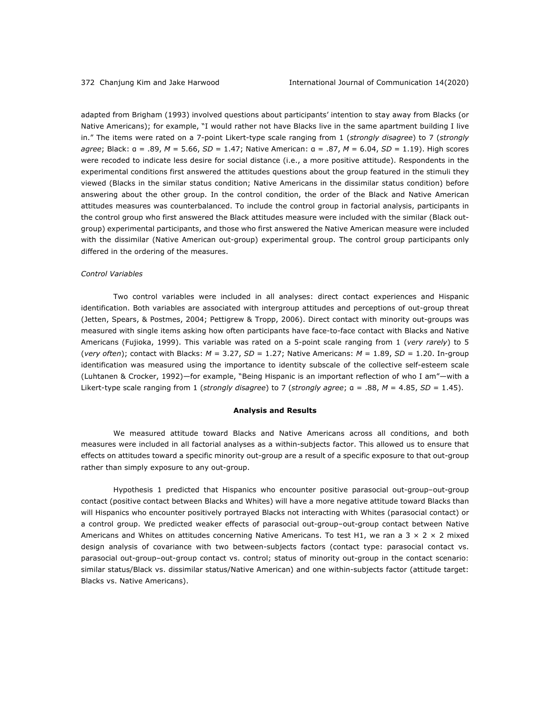adapted from Brigham (1993) involved questions about participants' intention to stay away from Blacks (or Native Americans); for example, "I would rather not have Blacks live in the same apartment building I live in." The items were rated on a 7-point Likert-type scale ranging from 1 (*strongly disagree*) to 7 (*strongly agree*; Black: α = .89, *M* = 5.66, *SD* = 1.47; Native American: α = .87, *M* = 6.04, *SD* = 1.19). High scores were recoded to indicate less desire for social distance (i.e., a more positive attitude). Respondents in the experimental conditions first answered the attitudes questions about the group featured in the stimuli they viewed (Blacks in the similar status condition; Native Americans in the dissimilar status condition) before answering about the other group. In the control condition, the order of the Black and Native American attitudes measures was counterbalanced. To include the control group in factorial analysis, participants in the control group who first answered the Black attitudes measure were included with the similar (Black outgroup) experimental participants, and those who first answered the Native American measure were included with the dissimilar (Native American out-group) experimental group. The control group participants only differed in the ordering of the measures.

#### *Control Variables*

Two control variables were included in all analyses: direct contact experiences and Hispanic identification. Both variables are associated with intergroup attitudes and perceptions of out-group threat (Jetten, Spears, & Postmes, 2004; Pettigrew & Tropp, 2006). Direct contact with minority out-groups was measured with single items asking how often participants have face-to-face contact with Blacks and Native Americans (Fujioka, 1999). This variable was rated on a 5-point scale ranging from 1 (*very rarely*) to 5 (*very often*); contact with Blacks: *M* = 3.27, *SD* = 1.27; Native Americans: *M* = 1.89, *SD* = 1.20. In-group identification was measured using the importance to identity subscale of the collective self-esteem scale (Luhtanen & Crocker, 1992)—for example, "Being Hispanic is an important reflection of who I am"—with a Likert-type scale ranging from 1 (*strongly disagree*) to 7 (*strongly agree*;  $a = .88$ ,  $M = 4.85$ ,  $SD = 1.45$ ).

#### **Analysis and Results**

We measured attitude toward Blacks and Native Americans across all conditions, and both measures were included in all factorial analyses as a within-subjects factor. This allowed us to ensure that effects on attitudes toward a specific minority out-group are a result of a specific exposure to that out-group rather than simply exposure to any out-group.

Hypothesis 1 predicted that Hispanics who encounter positive parasocial out-group–out-group contact (positive contact between Blacks and Whites) will have a more negative attitude toward Blacks than will Hispanics who encounter positively portrayed Blacks not interacting with Whites (parasocial contact) or a control group. We predicted weaker effects of parasocial out-group–out-group contact between Native Americans and Whites on attitudes concerning Native Americans. To test H1, we ran a 3  $\times$  2  $\times$  2 mixed design analysis of covariance with two between-subjects factors (contact type: parasocial contact vs. parasocial out-group–out-group contact vs. control; status of minority out-group in the contact scenario: similar status/Black vs. dissimilar status/Native American) and one within-subjects factor (attitude target: Blacks vs. Native Americans).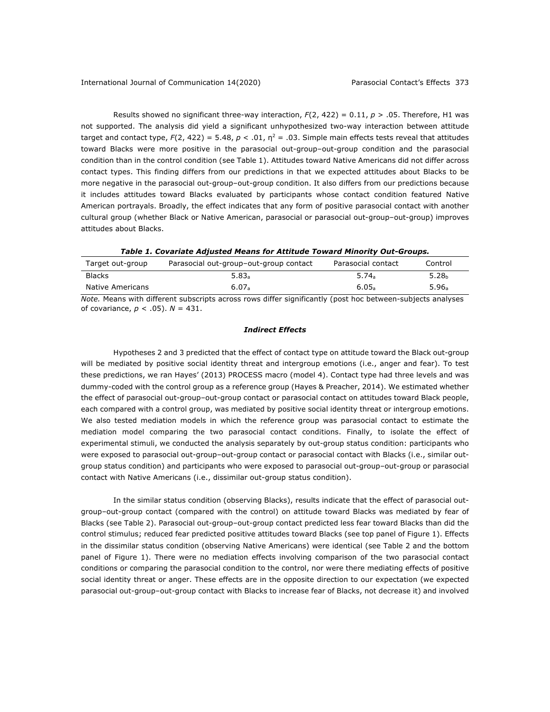Results showed no significant three-way interaction, *F*(2, 422) = 0.11, *p* > .05. Therefore, H1 was not supported. The analysis did yield a significant unhypothesized two-way interaction between attitude target and contact type,  $F(2, 422) = 5.48$ ,  $p < .01$ ,  $n^2 = .03$ . Simple main effects tests reveal that attitudes toward Blacks were more positive in the parasocial out-group–out-group condition and the parasocial condition than in the control condition (see Table 1). Attitudes toward Native Americans did not differ across contact types. This finding differs from our predictions in that we expected attitudes about Blacks to be more negative in the parasocial out-group–out-group condition. It also differs from our predictions because it includes attitudes toward Blacks evaluated by participants whose contact condition featured Native American portrayals. Broadly, the effect indicates that any form of positive parasocial contact with another cultural group (whether Black or Native American, parasocial or parasocial out-group-out-group) improves attitudes about Blacks.

*Table 1. Covariate Adjusted Means for Attitude Toward Minority Out-Groups.*

| Target out-group                                                                                              | Parasocial out-group-out-group contact | Parasocial contact | Control           |  |
|---------------------------------------------------------------------------------------------------------------|----------------------------------------|--------------------|-------------------|--|
| <b>Blacks</b>                                                                                                 | 5.83a                                  | 5.74a              | 5.28 <sub>b</sub> |  |
| Native Americans                                                                                              | 6.07a                                  | 6.05a              | 5.96a             |  |
| Ality Alissa with different colescitote sames were differentedly facethy facet been between subjects and weak |                                        |                    |                   |  |

*Note.* Means with different subscripts across rows differ significantly (post hoc between-subjects analyses of covariance, *p* < .05). *N* = 431.

## *Indirect Effects*

Hypotheses 2 and 3 predicted that the effect of contact type on attitude toward the Black out-group will be mediated by positive social identity threat and intergroup emotions (i.e., anger and fear). To test these predictions, we ran Hayes' (2013) PROCESS macro (model 4). Contact type had three levels and was dummy-coded with the control group as a reference group (Hayes & Preacher, 2014). We estimated whether the effect of parasocial out-group–out-group contact or parasocial contact on attitudes toward Black people, each compared with a control group, was mediated by positive social identity threat or intergroup emotions. We also tested mediation models in which the reference group was parasocial contact to estimate the mediation model comparing the two parasocial contact conditions. Finally, to isolate the effect of experimental stimuli, we conducted the analysis separately by out-group status condition: participants who were exposed to parasocial out-group–out-group contact or parasocial contact with Blacks (i.e., similar outgroup status condition) and participants who were exposed to parasocial out-group–out-group or parasocial contact with Native Americans (i.e., dissimilar out-group status condition).

In the similar status condition (observing Blacks), results indicate that the effect of parasocial outgroup–out-group contact (compared with the control) on attitude toward Blacks was mediated by fear of Blacks (see Table 2). Parasocial out-group–out-group contact predicted less fear toward Blacks than did the control stimulus; reduced fear predicted positive attitudes toward Blacks (see top panel of Figure 1). Effects in the dissimilar status condition (observing Native Americans) were identical (see Table 2 and the bottom panel of Figure 1). There were no mediation effects involving comparison of the two parasocial contact conditions or comparing the parasocial condition to the control, nor were there mediating effects of positive social identity threat or anger. These effects are in the opposite direction to our expectation (we expected parasocial out-group–out-group contact with Blacks to increase fear of Blacks, not decrease it) and involved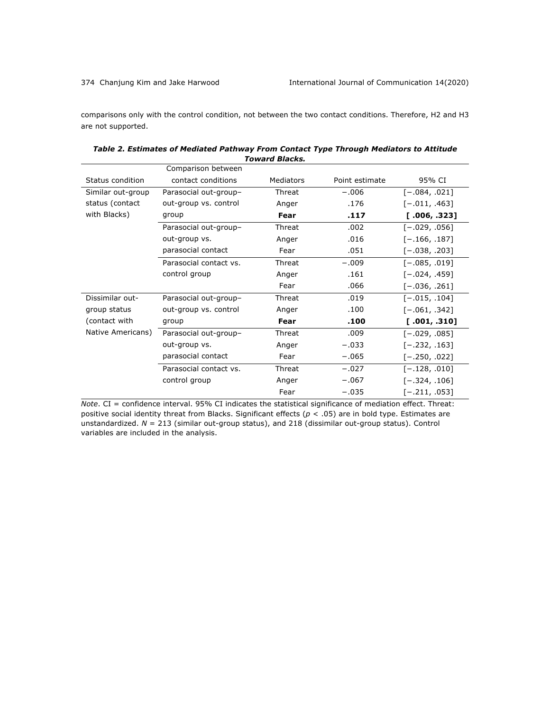comparisons only with the control condition, not between the two contact conditions. Therefore, H2 and H3 are not supported.

| TUWATU DIALAS.    |                        |           |                |                 |  |  |
|-------------------|------------------------|-----------|----------------|-----------------|--|--|
|                   | Comparison between     |           |                |                 |  |  |
| Status condition  | contact conditions     | Mediators | Point estimate | 95% CI          |  |  |
| Similar out-group | Parasocial out-group-  | Threat    | $-.006$        | $[-.084, .021]$ |  |  |
| status (contact   | out-group vs. control  | Anger     | .176           | $[-.011, .463]$ |  |  |
| with Blacks)      | group                  | Fear      | .117           | [.006, .323]    |  |  |
|                   | Parasocial out-group-  | Threat    | .002           | $[-.029, .056]$ |  |  |
|                   | out-group vs.          | Anger     | .016           | $[-.166, .187]$ |  |  |
|                   | parasocial contact     | Fear      | .051           | $[-.038, .203]$ |  |  |
|                   | Parasocial contact vs. | Threat    | $-.009$        | $[-.085, .019]$ |  |  |
|                   | control group          | Anger     | .161           | $[-.024, .459]$ |  |  |
|                   |                        | Fear      | .066           | $[-.036, .261]$ |  |  |
| Dissimilar out-   | Parasocial out-group-  | Threat    | .019           | $[-.015, .104]$ |  |  |
| group status      | out-group vs. control  | Anger     | .100           | $[-.061, .342]$ |  |  |
| (contact with     | group                  | Fear      | .100           | [.001, .310]    |  |  |
| Native Americans) | Parasocial out-group-  | Threat    | .009           | $[-.029, .085]$ |  |  |
|                   | out-group vs.          | Anger     | $-.033$        | $[-.232, .163]$ |  |  |
|                   | parasocial contact     | Fear      | $-.065$        | $[-.250, .022]$ |  |  |
|                   | Parasocial contact vs. | Threat    | $-.027$        | $[-.128, .010]$ |  |  |
|                   | control group          | Anger     | $-.067$        | $[-.324, .106]$ |  |  |
|                   |                        | Fear      | $-.035$        | $[-.211, .053]$ |  |  |

| Table 2. Estimates of Mediated Pathway From Contact Type Through Mediators to Attitude |  |
|----------------------------------------------------------------------------------------|--|
| Toward Blacks.                                                                         |  |

*Note*. CI = confidence interval. 95% CI indicates the statistical significance of mediation effect. Threat: positive social identity threat from Blacks. Significant effects (*p* < .05) are in bold type. Estimates are unstandardized. *N* = 213 (similar out-group status), and 218 (dissimilar out-group status). Control variables are included in the analysis.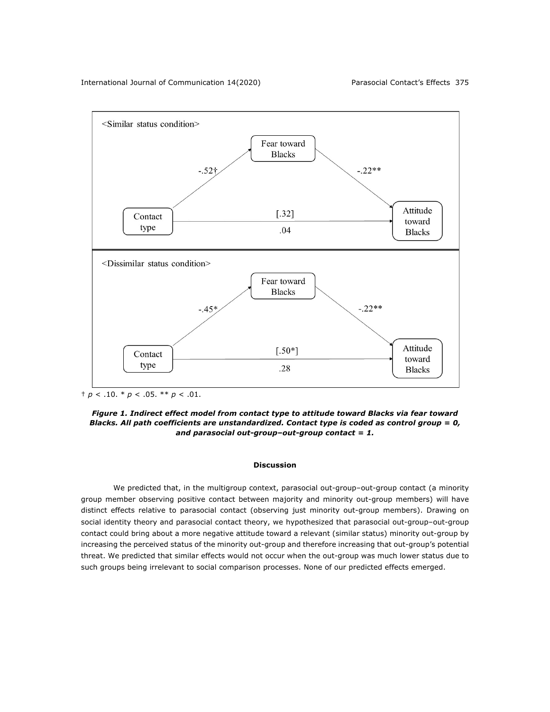

 $\frac{+}{p}$  < .10.  $*$   $p$  < .05.  $*$   $*$   $p$  < .01.

*Figure 1. Indirect effect model from contact type to attitude toward Blacks via fear toward Blacks. All path coefficients are unstandardized. Contact type is coded as control group = 0, and parasocial out-group–out-group contact = 1.*

## **Discussion**

We predicted that, in the multigroup context, parasocial out-group–out-group contact (a minority group member observing positive contact between majority and minority out-group members) will have distinct effects relative to parasocial contact (observing just minority out-group members). Drawing on social identity theory and parasocial contact theory, we hypothesized that parasocial out-group–out-group contact could bring about a more negative attitude toward a relevant (similar status) minority out-group by increasing the perceived status of the minority out-group and therefore increasing that out-group's potential threat. We predicted that similar effects would not occur when the out-group was much lower status due to such groups being irrelevant to social comparison processes. None of our predicted effects emerged.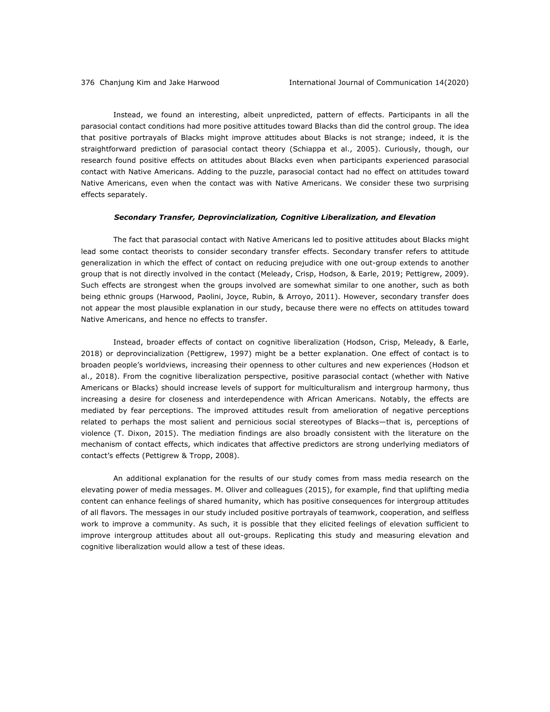Instead, we found an interesting, albeit unpredicted, pattern of effects. Participants in all the parasocial contact conditions had more positive attitudes toward Blacks than did the control group. The idea that positive portrayals of Blacks might improve attitudes about Blacks is not strange; indeed, it is the straightforward prediction of parasocial contact theory (Schiappa et al., 2005). Curiously, though, our research found positive effects on attitudes about Blacks even when participants experienced parasocial contact with Native Americans. Adding to the puzzle, parasocial contact had no effect on attitudes toward Native Americans, even when the contact was with Native Americans. We consider these two surprising effects separately.

### *Secondary Transfer, Deprovincialization, Cognitive Liberalization, and Elevation*

The fact that parasocial contact with Native Americans led to positive attitudes about Blacks might lead some contact theorists to consider secondary transfer effects. Secondary transfer refers to attitude generalization in which the effect of contact on reducing prejudice with one out-group extends to another group that is not directly involved in the contact (Meleady, Crisp, Hodson, & Earle, 2019; Pettigrew, 2009). Such effects are strongest when the groups involved are somewhat similar to one another, such as both being ethnic groups (Harwood, Paolini, Joyce, Rubin, & Arroyo, 2011). However, secondary transfer does not appear the most plausible explanation in our study, because there were no effects on attitudes toward Native Americans, and hence no effects to transfer.

Instead, broader effects of contact on cognitive liberalization (Hodson, Crisp, Meleady, & Earle, 2018) or deprovincialization (Pettigrew, 1997) might be a better explanation. One effect of contact is to broaden people's worldviews, increasing their openness to other cultures and new experiences (Hodson et al., 2018). From the cognitive liberalization perspective, positive parasocial contact (whether with Native Americans or Blacks) should increase levels of support for multiculturalism and intergroup harmony, thus increasing a desire for closeness and interdependence with African Americans. Notably, the effects are mediated by fear perceptions. The improved attitudes result from amelioration of negative perceptions related to perhaps the most salient and pernicious social stereotypes of Blacks—that is, perceptions of violence (T. Dixon, 2015). The mediation findings are also broadly consistent with the literature on the mechanism of contact effects, which indicates that affective predictors are strong underlying mediators of contact's effects (Pettigrew & Tropp, 2008).

An additional explanation for the results of our study comes from mass media research on the elevating power of media messages. M. Oliver and colleagues (2015), for example, find that uplifting media content can enhance feelings of shared humanity, which has positive consequences for intergroup attitudes of all flavors. The messages in our study included positive portrayals of teamwork, cooperation, and selfless work to improve a community. As such, it is possible that they elicited feelings of elevation sufficient to improve intergroup attitudes about all out-groups. Replicating this study and measuring elevation and cognitive liberalization would allow a test of these ideas.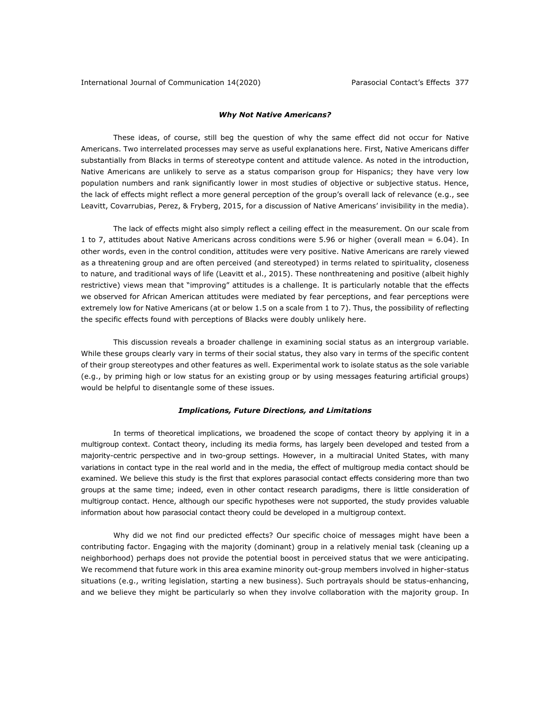## *Why Not Native Americans?*

These ideas, of course, still beg the question of why the same effect did not occur for Native Americans. Two interrelated processes may serve as useful explanations here. First, Native Americans differ substantially from Blacks in terms of stereotype content and attitude valence. As noted in the introduction, Native Americans are unlikely to serve as a status comparison group for Hispanics; they have very low population numbers and rank significantly lower in most studies of objective or subjective status. Hence, the lack of effects might reflect a more general perception of the group's overall lack of relevance (e.g., see Leavitt, Covarrubias, Perez, & Fryberg, 2015, for a discussion of Native Americans' invisibility in the media).

The lack of effects might also simply reflect a ceiling effect in the measurement. On our scale from 1 to 7, attitudes about Native Americans across conditions were 5.96 or higher (overall mean = 6.04). In other words, even in the control condition, attitudes were very positive. Native Americans are rarely viewed as a threatening group and are often perceived (and stereotyped) in terms related to spirituality, closeness to nature, and traditional ways of life (Leavitt et al., 2015). These nonthreatening and positive (albeit highly restrictive) views mean that "improving" attitudes is a challenge. It is particularly notable that the effects we observed for African American attitudes were mediated by fear perceptions, and fear perceptions were extremely low for Native Americans (at or below 1.5 on a scale from 1 to 7). Thus, the possibility of reflecting the specific effects found with perceptions of Blacks were doubly unlikely here.

This discussion reveals a broader challenge in examining social status as an intergroup variable. While these groups clearly vary in terms of their social status, they also vary in terms of the specific content of their group stereotypes and other features as well. Experimental work to isolate status as the sole variable (e.g., by priming high or low status for an existing group or by using messages featuring artificial groups) would be helpful to disentangle some of these issues.

#### *Implications, Future Directions, and Limitations*

In terms of theoretical implications, we broadened the scope of contact theory by applying it in a multigroup context. Contact theory, including its media forms, has largely been developed and tested from a majority-centric perspective and in two-group settings. However, in a multiracial United States, with many variations in contact type in the real world and in the media, the effect of multigroup media contact should be examined. We believe this study is the first that explores parasocial contact effects considering more than two groups at the same time; indeed, even in other contact research paradigms, there is little consideration of multigroup contact. Hence, although our specific hypotheses were not supported, the study provides valuable information about how parasocial contact theory could be developed in a multigroup context.

Why did we not find our predicted effects? Our specific choice of messages might have been a contributing factor. Engaging with the majority (dominant) group in a relatively menial task (cleaning up a neighborhood) perhaps does not provide the potential boost in perceived status that we were anticipating. We recommend that future work in this area examine minority out-group members involved in higher-status situations (e.g., writing legislation, starting a new business). Such portrayals should be status-enhancing, and we believe they might be particularly so when they involve collaboration with the majority group. In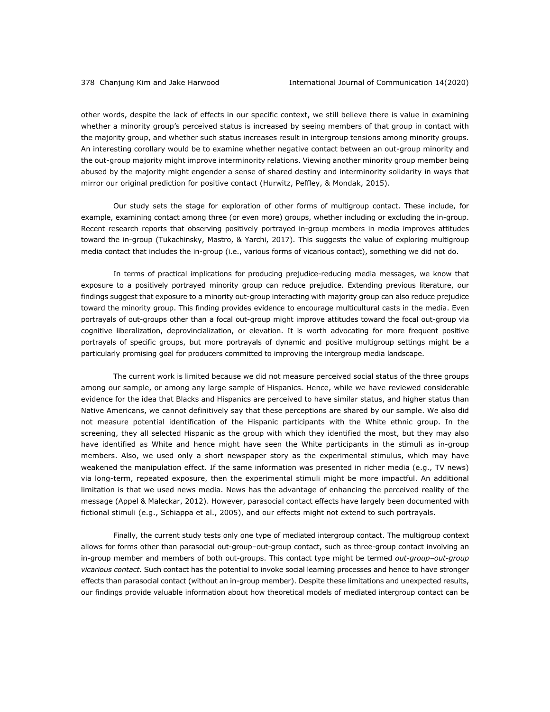other words, despite the lack of effects in our specific context, we still believe there is value in examining whether a minority group's perceived status is increased by seeing members of that group in contact with the majority group, and whether such status increases result in intergroup tensions among minority groups. An interesting corollary would be to examine whether negative contact between an out-group minority and the out-group majority might improve interminority relations. Viewing another minority group member being abused by the majority might engender a sense of shared destiny and interminority solidarity in ways that mirror our original prediction for positive contact (Hurwitz, Peffley, & Mondak, 2015).

Our study sets the stage for exploration of other forms of multigroup contact. These include, for example, examining contact among three (or even more) groups, whether including or excluding the in-group. Recent research reports that observing positively portrayed in-group members in media improves attitudes toward the in-group (Tukachinsky, Mastro, & Yarchi, 2017). This suggests the value of exploring multigroup media contact that includes the in-group (i.e., various forms of vicarious contact), something we did not do.

In terms of practical implications for producing prejudice-reducing media messages, we know that exposure to a positively portrayed minority group can reduce prejudice. Extending previous literature, our findings suggest that exposure to a minority out-group interacting with majority group can also reduce prejudice toward the minority group. This finding provides evidence to encourage multicultural casts in the media. Even portrayals of out-groups other than a focal out-group might improve attitudes toward the focal out-group via cognitive liberalization, deprovincialization, or elevation. It is worth advocating for more frequent positive portrayals of specific groups, but more portrayals of dynamic and positive multigroup settings might be a particularly promising goal for producers committed to improving the intergroup media landscape.

The current work is limited because we did not measure perceived social status of the three groups among our sample, or among any large sample of Hispanics. Hence, while we have reviewed considerable evidence for the idea that Blacks and Hispanics are perceived to have similar status, and higher status than Native Americans, we cannot definitively say that these perceptions are shared by our sample. We also did not measure potential identification of the Hispanic participants with the White ethnic group. In the screening, they all selected Hispanic as the group with which they identified the most, but they may also have identified as White and hence might have seen the White participants in the stimuli as in-group members. Also, we used only a short newspaper story as the experimental stimulus, which may have weakened the manipulation effect. If the same information was presented in richer media (e.g., TV news) via long-term, repeated exposure, then the experimental stimuli might be more impactful. An additional limitation is that we used news media. News has the advantage of enhancing the perceived reality of the message (Appel & Maleckar, 2012). However, parasocial contact effects have largely been documented with fictional stimuli (e.g., Schiappa et al., 2005), and our effects might not extend to such portrayals.

Finally, the current study tests only one type of mediated intergroup contact. The multigroup context allows for forms other than parasocial out-group–out-group contact, such as three-group contact involving an in-group member and members of both out-groups. This contact type might be termed *out-group–out-group vicarious contact*. Such contact has the potential to invoke social learning processes and hence to have stronger effects than parasocial contact (without an in-group member). Despite these limitations and unexpected results, our findings provide valuable information about how theoretical models of mediated intergroup contact can be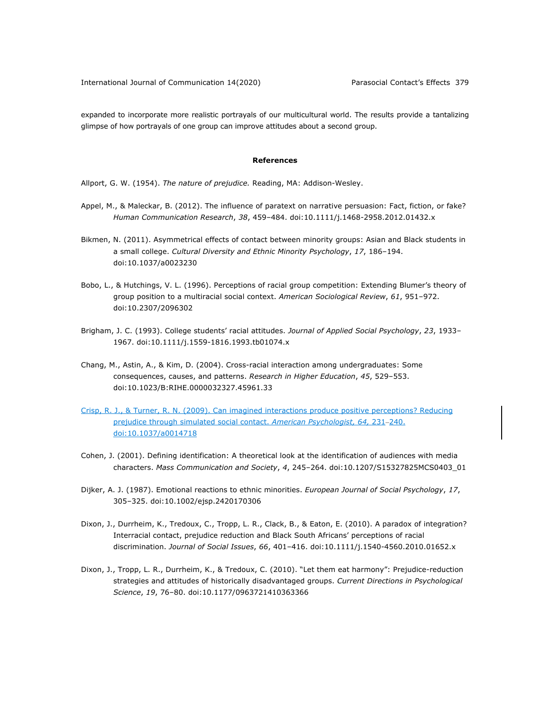expanded to incorporate more realistic portrayals of our multicultural world. The results provide a tantalizing glimpse of how portrayals of one group can improve attitudes about a second group.

#### **References**

Allport, G. W. (1954). *The nature of prejudice.* Reading, MA: Addison-Wesley.

- Appel, M., & Maleckar, B. (2012). The influence of paratext on narrative persuasion: Fact, fiction, or fake? *Human Communication Research*, *38*, 459–484. doi:10.1111/j.1468-2958.2012.01432.x
- Bikmen, N. (2011). Asymmetrical effects of contact between minority groups: Asian and Black students in a small college. *Cultural Diversity and Ethnic Minority Psychology*, *17*, 186–194. doi:10.1037/a0023230
- Bobo, L., & Hutchings, V. L. (1996). Perceptions of racial group competition: Extending Blumer's theory of group position to a multiracial social context. *American Sociological Review*, *61*, 951–972. doi:10.2307/2096302
- Brigham, J. C. (1993). College students' racial attitudes. *Journal of Applied Social Psychology*, *23*, 1933– 1967. doi:10.1111/j.1559-1816.1993.tb01074.x
- Chang, M., Astin, A., & Kim, D. (2004). Cross-racial interaction among undergraduates: Some consequences, causes, and patterns. *Research in Higher Education*, *45*, 529–553. doi:10.1023/B:RIHE.0000032327.45961.33
- Crisp, R. J., & Turner, R. N. (2009). Can imagined interactions produce positive perceptions? Reducing prejudice through simulated social contact. American Psychologist, 64, 231-240. doi:10.1037/a0014718
- Cohen, J. (2001). Defining identification: A theoretical look at the identification of audiences with media characters. *Mass Communication and Society*, *4*, 245–264. doi:10.1207/S15327825MCS0403\_01
- Dijker, A. J. (1987). Emotional reactions to ethnic minorities. *European Journal of Social Psychology*, *17*, 305–325. doi:10.1002/ejsp.2420170306
- Dixon, J., Durrheim, K., Tredoux, C., Tropp, L. R., Clack, B., & Eaton, E. (2010). A paradox of integration? Interracial contact, prejudice reduction and Black South Africans' perceptions of racial discrimination. *Journal of Social Issues*, *66*, 401–416. doi:10.1111/j.1540-4560.2010.01652.x
- Dixon, J., Tropp, L. R., Durrheim, K., & Tredoux, C. (2010). "Let them eat harmony": Prejudice-reduction strategies and attitudes of historically disadvantaged groups. *Current Directions in Psychological Science*, *19*, 76–80. doi:10.1177/0963721410363366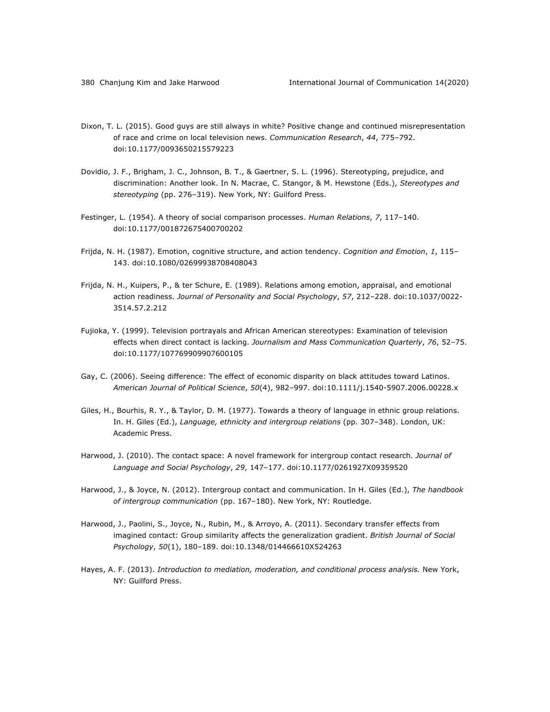- Dixon, T. L. (2015). Good guys are still always in white? Positive change and continued misrepresentation of race and crime on local television news. *Communication Research*, *44*, 775–792. doi:10.1177/0093650215579223
- Dovidio, J. F., Brigham, J. C., Johnson, B. T., & Gaertner, S. L. (1996). Stereotyping, prejudice, and discrimination: Another look. In N. Macrae, C. Stangor, & M. Hewstone (Eds.), *Stereotypes and stereotyping* (pp. 276–319). New York, NY: Guilford Press.
- Festinger, L. (1954). A theory of social comparison processes. *Human Relations*, *7*, 117–140. doi:10.1177/001872675400700202
- Frijda, N. H. (1987). Emotion, cognitive structure, and action tendency. *Cognition and Emotion*, *1*, 115– 143. doi:10.1080/02699938708408043
- Frijda, N. H., Kuipers, P., & ter Schure, E. (1989). Relations among emotion, appraisal, and emotional action readiness. *Journal of Personality and Social Psychology*, *57*, 212–228. doi:10.1037/0022- 3514.57.2.212
- Fujioka, Y. (1999). Television portrayals and African American stereotypes: Examination of television effects when direct contact is lacking. *Journalism and Mass Communication Quarterly*, *76*, 52–75. doi:10.1177/107769909907600105
- Gay, C. (2006). Seeing difference: The effect of economic disparity on black attitudes toward Latinos. *American Journal of Political Science*, *50*(4), 982–997. doi:10.1111/j.1540-5907.2006.00228.x
- Giles, H., Bourhis, R. Y., & Taylor, D. M. (1977). Towards a theory of language in ethnic group relations. In. H. Giles (Ed.), *Language, ethnicity and intergroup relations* (pp. 307–348). London, UK: Academic Press.
- Harwood, J. (2010). The contact space: A novel framework for intergroup contact research. *Journal of Language and Social Psychology*, *29*, 147–177. doi:10.1177/0261927X09359520
- Harwood, J., & Joyce, N. (2012). Intergroup contact and communication. In H. Giles (Ed.), *The handbook of intergroup communication* (pp. 167–180). New York, NY: Routledge.
- Harwood, J., Paolini, S., Joyce, N., Rubin, M., & Arroyo, A. (2011). Secondary transfer effects from imagined contact: Group similarity affects the generalization gradient. *British Journal of Social Psychology*, *50*(1), 180–189. doi:10.1348/014466610X524263
- Hayes, A. F. (2013). *Introduction to mediation, moderation, and conditional process analysis.* New York, NY: Guilford Press.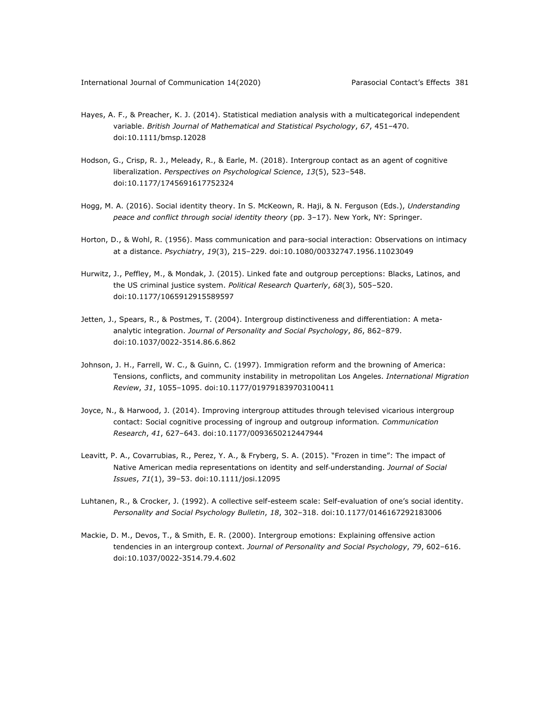- Hayes, A. F., & Preacher, K. J. (2014). Statistical mediation analysis with a multicategorical independent variable. *British Journal of Mathematical and Statistical Psychology*, *67*, 451–470. doi:10.1111/bmsp.12028
- Hodson, G., Crisp, R. J., Meleady, R., & Earle, M. (2018). Intergroup contact as an agent of cognitive liberalization. *Perspectives on Psychological Science*, *13*(5), 523–548. doi:10.1177/1745691617752324
- Hogg, M. A. (2016). Social identity theory. In S. McKeown, R. Haji, & N. Ferguson (Eds.), *Understanding peace and conflict through social identity theory* (pp. 3–17). New York, NY: Springer.
- Horton, D., & Wohl, R. (1956). Mass communication and para-social interaction: Observations on intimacy at a distance. *Psychiatry*, *19*(3), 215–229. doi:10.1080/00332747.1956.11023049
- Hurwitz, J., Peffley, M., & Mondak, J. (2015). Linked fate and outgroup perceptions: Blacks, Latinos, and the US criminal justice system. *Political Research Quarterly*, *68*(3), 505–520. doi:10.1177/1065912915589597
- Jetten, J., Spears, R., & Postmes, T. (2004). Intergroup distinctiveness and differentiation: A metaanalytic integration. *Journal of Personality and Social Psychology*, *86*, 862–879. doi:10.1037/0022-3514.86.6.862
- Johnson, J. H., Farrell, W. C., & Guinn, C. (1997). Immigration reform and the browning of America: Tensions, conflicts, and community instability in metropolitan Los Angeles. *International Migration Review*, *31*, 1055–1095. doi:10.1177/019791839703100411
- Joyce, N., & Harwood, J. (2014). Improving intergroup attitudes through televised vicarious intergroup contact: Social cognitive processing of ingroup and outgroup information*. Communication Research*, *41*, 627–643. doi:10.1177/0093650212447944
- Leavitt, P. A., Covarrubias, R., Perez, Y. A., & Fryberg, S. A. (2015). "Frozen in time": The impact of Native American media representations on identity and self-understanding. *Journal of Social Issues*, *71*(1), 39–53. doi:10.1111/josi.12095
- Luhtanen, R., & Crocker, J. (1992). A collective self-esteem scale: Self-evaluation of one's social identity. *Personality and Social Psychology Bulletin*, *18*, 302–318. doi:10.1177/0146167292183006
- Mackie, D. M., Devos, T., & Smith, E. R. (2000). Intergroup emotions: Explaining offensive action tendencies in an intergroup context. *Journal of Personality and Social Psychology*, *79*, 602–616. doi:10.1037/0022-3514.79.4.602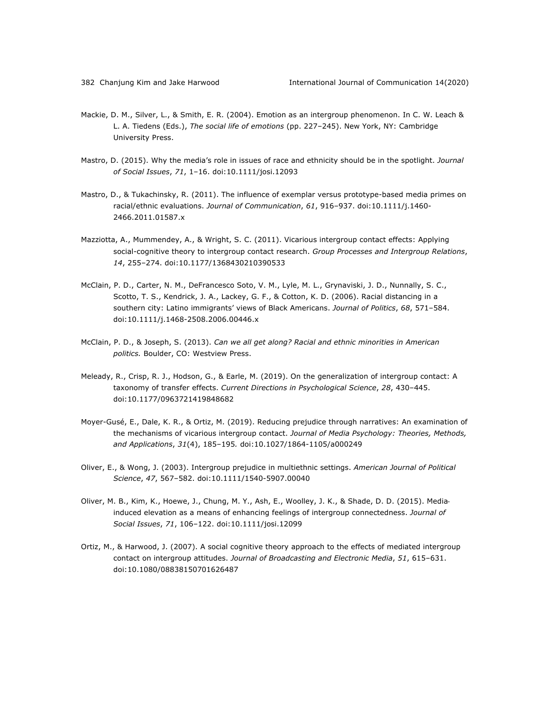- Mackie, D. M., Silver, L., & Smith, E. R. (2004). Emotion as an intergroup phenomenon. In C. W. Leach & L. A. Tiedens (Eds.), *The social life of emotions* (pp. 227–245). New York, NY: Cambridge University Press.
- Mastro, D. (2015). Why the media's role in issues of race and ethnicity should be in the spotlight. *Journal of Social Issues*, *71*, 1–16. doi:10.1111/josi.12093
- Mastro, D., & Tukachinsky, R. (2011). The influence of exemplar versus prototype-based media primes on racial/ethnic evaluations. *Journal of Communication*, *61*, 916–937. doi:10.1111/j.1460- 2466.2011.01587.x
- Mazziotta, A., Mummendey, A., & Wright, S. C. (2011). Vicarious intergroup contact effects: Applying social-cognitive theory to intergroup contact research. *Group Processes and Intergroup Relations*, *14*, 255–274. doi:10.1177/1368430210390533
- McClain, P. D., Carter, N. M., DeFrancesco Soto, V. M., Lyle, M. L., Grynaviski, J. D., Nunnally, S. C., Scotto, T. S., Kendrick, J. A., Lackey, G. F., & Cotton, K. D. (2006). Racial distancing in a southern city: Latino immigrants' views of Black Americans. *Journal of Politics*, *68*, 571–584. doi:10.1111/j.1468-2508.2006.00446.x
- McClain, P. D., & Joseph, S. (2013). *Can we all get along? Racial and ethnic minorities in American politics.* Boulder, CO: Westview Press.
- Meleady, R., Crisp, R. J., Hodson, G., & Earle, M. (2019). On the generalization of intergroup contact: A taxonomy of transfer effects. *Current Directions in Psychological Science*, *28*, 430–445. doi:10.1177/0963721419848682
- Moyer-Gusé, E., Dale, K. R., & Ortiz, M. (2019). Reducing prejudice through narratives: An examination of the mechanisms of vicarious intergroup contact. *Journal of Media Psychology: Theories, Methods, and Applications*, *31*(4), 185–195*.* doi:10.1027/1864-1105/a000249
- Oliver, E., & Wong, J. (2003). Intergroup prejudice in multiethnic settings. *American Journal of Political Science*, *47*, 567–582. doi:10.1111/1540-5907.00040
- Oliver, M. B., Kim, K., Hoewe, J., Chung, M. Y., Ash, E., Woolley, J. K., & Shade, D. D. (2015). Mediainduced elevation as a means of enhancing feelings of intergroup connectedness. *Journal of Social Issues*, *71*, 106–122. doi:10.1111/josi.12099
- Ortiz, M., & Harwood, J. (2007). A social cognitive theory approach to the effects of mediated intergroup contact on intergroup attitudes. *Journal of Broadcasting and Electronic Media*, *51*, 615–631. doi:10.1080/08838150701626487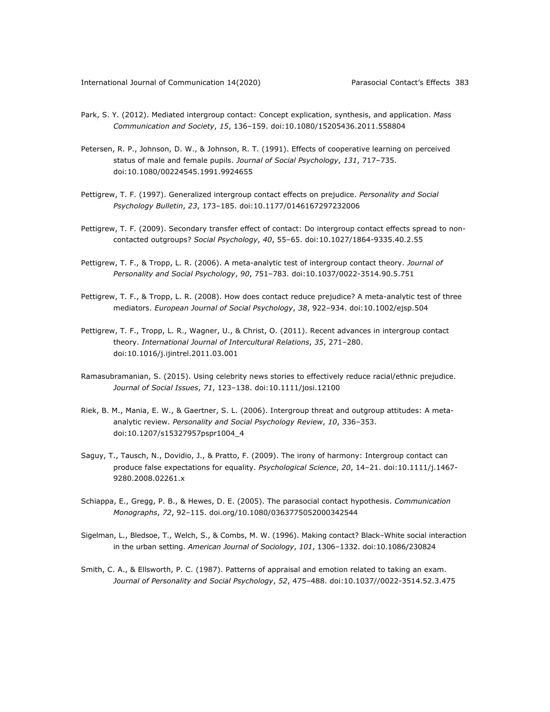- Park, S. Y. (2012). Mediated intergroup contact: Concept explication, synthesis, and application. *Mass Communication and Society*, *15*, 136–159. doi:10.1080/15205436.2011.558804
- Petersen, R. P., Johnson, D. W., & Johnson, R. T. (1991). Effects of cooperative learning on perceived status of male and female pupils. *Journal of Social Psychology*, *131*, 717–735. doi:10.1080/00224545.1991.9924655
- Pettigrew, T. F. (1997). Generalized intergroup contact effects on prejudice. *Personality and Social Psychology Bulletin*, *23*, 173–185. doi:10.1177/0146167297232006
- Pettigrew, T. F. (2009). Secondary transfer effect of contact: Do intergroup contact effects spread to noncontacted outgroups? *Social Psychology*, *40*, 55–65. doi:10.1027/1864-9335.40.2.55
- Pettigrew, T. F., & Tropp, L. R. (2006). A meta-analytic test of intergroup contact theory. *Journal of Personality and Social Psychology*, *90*, 751–783. doi:10.1037/0022-3514.90.5.751
- Pettigrew, T. F., & Tropp, L. R. (2008). How does contact reduce prejudice? A meta-analytic test of three mediators. *European Journal of Social Psychology*, *38*, 922–934. doi:10.1002/ejsp.504
- Pettigrew, T. F., Tropp, L. R., Wagner, U., & Christ, O. (2011). Recent advances in intergroup contact theory. *International Journal of Intercultural Relations*, *35*, 271–280. doi:10.1016/j.ijintrel.2011.03.001
- Ramasubramanian, S. (2015). Using celebrity news stories to effectively reduce racial/ethnic prejudice. *Journal of Social Issues*, *71*, 123–138. doi:10.1111/josi.12100
- Riek, B. M., Mania, E. W., & Gaertner, S. L. (2006). Intergroup threat and outgroup attitudes: A metaanalytic review. *Personality and Social Psychology Review*, *10*, 336–353. doi:10.1207/s15327957pspr1004\_4
- Saguy, T., Tausch, N., Dovidio, J., & Pratto, F. (2009). The irony of harmony: Intergroup contact can produce false expectations for equality. *Psychological Science*, *20*, 14–21. doi:10.1111/j.1467- 9280.2008.02261.x
- Schiappa, E., Gregg, P. B., & Hewes, D. E. (2005). The parasocial contact hypothesis. *Communication Monographs*, *72*, 92–115. doi.org/10.1080/0363775052000342544
- Sigelman, L., Bledsoe, T., Welch, S., & Combs, M. W. (1996). Making contact? Black–White social interaction in the urban setting. *American Journal of Sociology*, *101*, 1306–1332. doi:10.1086/230824
- Smith, C. A., & Ellsworth, P. C. (1987). Patterns of appraisal and emotion related to taking an exam. *Journal of Personality and Social Psychology*, *52*, 475–488. doi:10.1037//0022-3514.52.3.475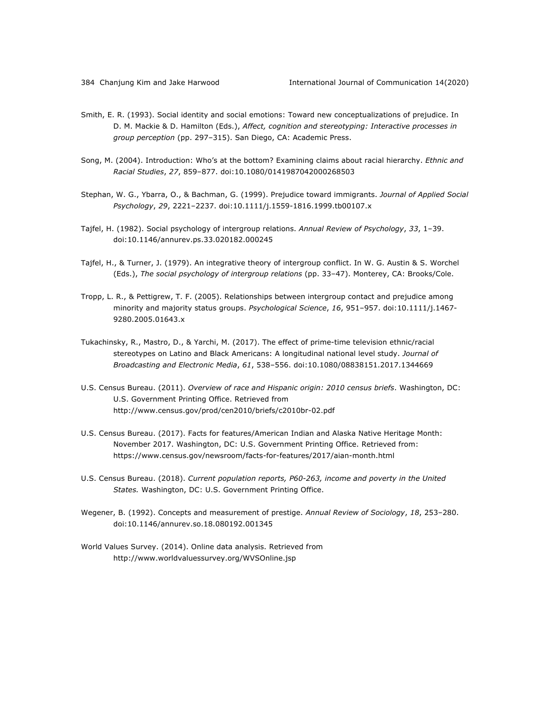- Smith, E. R. (1993). Social identity and social emotions: Toward new conceptualizations of prejudice. In D. M. Mackie & D. Hamilton (Eds.), *Affect, cognition and stereotyping: Interactive processes in group perception* (pp. 297–315). San Diego, CA: Academic Press.
- Song, M. (2004). Introduction: Who's at the bottom? Examining claims about racial hierarchy. *Ethnic and Racial Studies*, *27*, 859–877. doi:10.1080/0141987042000268503
- Stephan, W. G., Ybarra, O., & Bachman, G. (1999). Prejudice toward immigrants. *Journal of Applied Social Psychology*, *29*, 2221–2237. doi:10.1111/j.1559-1816.1999.tb00107.x
- Tajfel, H. (1982). Social psychology of intergroup relations. *Annual Review of Psychology*, *33*, 1–39. doi:10.1146/annurev.ps.33.020182.000245
- Tajfel, H., & Turner, J. (1979). An integrative theory of intergroup conflict. In W. G. Austin & S. Worchel (Eds.), *The social psychology of intergroup relations* (pp. 33–47). Monterey, CA: Brooks/Cole.
- Tropp, L. R., & Pettigrew, T. F. (2005). Relationships between intergroup contact and prejudice among minority and majority status groups. *Psychological Science*, *16*, 951–957. doi:10.1111/j.1467- 9280.2005.01643.x
- Tukachinsky, R., Mastro, D., & Yarchi, M. (2017). The effect of prime-time television ethnic/racial stereotypes on Latino and Black Americans: A longitudinal national level study. *Journal of Broadcasting and Electronic Media*, *61*, 538–556. doi:10.1080/08838151.2017.1344669
- U.S. Census Bureau. (2011). *Overview of race and Hispanic origin: 2010 census briefs*. Washington, DC: U.S. Government Printing Office. Retrieved from http://www.census.gov/prod/cen2010/briefs/c2010br-02.pdf
- U.S. Census Bureau. (2017). Facts for features/American Indian and Alaska Native Heritage Month: November 2017. Washington, DC: U.S. Government Printing Office. Retrieved from: https://www.census.gov/newsroom/facts-for-features/2017/aian-month.html
- U.S. Census Bureau. (2018). *Current population reports, P60-263, income and poverty in the United States.* Washington, DC: U.S. Government Printing Office.
- Wegener, B. (1992). Concepts and measurement of prestige. *Annual Review of Sociology*, *18*, 253–280. doi:10.1146/annurev.so.18.080192.001345
- World Values Survey. (2014). Online data analysis. Retrieved from http://www.worldvaluessurvey.org/WVSOnline.jsp